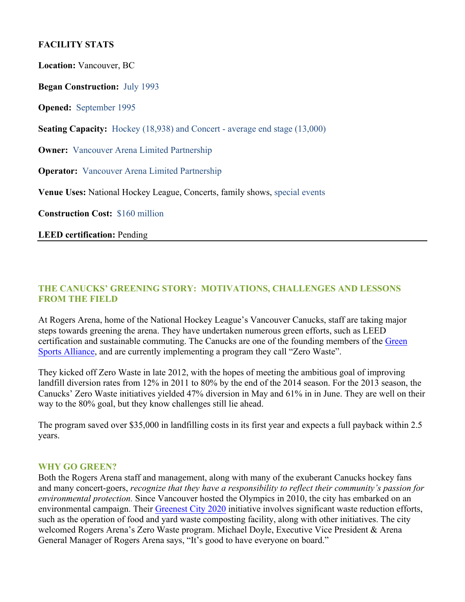## **FACILITY STATS**

**Location:** Vancouver, BC **Began Construction:** July 1993 **Opened:** September 1995 **Seating Capacity:** Hockey (18,938) and Concert - average end stage (13,000) **Owner:** Vancouver Arena Limited Partnership **Operator:** Vancouver Arena Limited Partnership **Venue Uses:** National Hockey League, Concerts, family shows, special events **Construction Cost:** \$160 million **LEED certification:** Pending

#### **THE CANUCKS' GREENING STORY: MOTIVATIONS, CHALLENGES AND LESSONS FROM THE FIELD**

At Rogers Arena, home of the National Hockey League's Vancouver Canucks, staff are taking major steps towards greening the arena. They have undertaken numerous green efforts, such as LEED certification and sustainable commuting. The Canucks are one of the founding members of the Green Sports Alliance, and are currently implementing a program they call "Zero Waste".

They kicked off Zero Waste in late 2012, with the hopes of meeting the ambitious goal of improving landfill diversion rates from 12% in 2011 to 80% by the end of the 2014 season. For the 2013 season, the Canucks' Zero Waste initiatives yielded 47% diversion in May and 61% in in June. They are well on their way to the 80% goal, but they know challenges still lie ahead.

The program saved over \$35,000 in landfilling costs in its first year and expects a full payback within 2.5 years.

#### **WHY GO GREEN?**

Both the Rogers Arena staff and management, along with many of the exuberant Canucks hockey fans and many concert-goers, *recognize that they have a responsibility to reflect their community's passion for environmental protection.* Since Vancouver hosted the Olympics in 2010, the city has embarked on an environmental campaign. Their Greenest City 2020 initiative involves significant waste reduction efforts, such as the operation of food and yard waste composting facility, along with other initiatives. The city welcomed Rogers Arena's Zero Waste program. Michael Doyle, Executive Vice President & Arena General Manager of Rogers Arena says, "It's good to have everyone on board."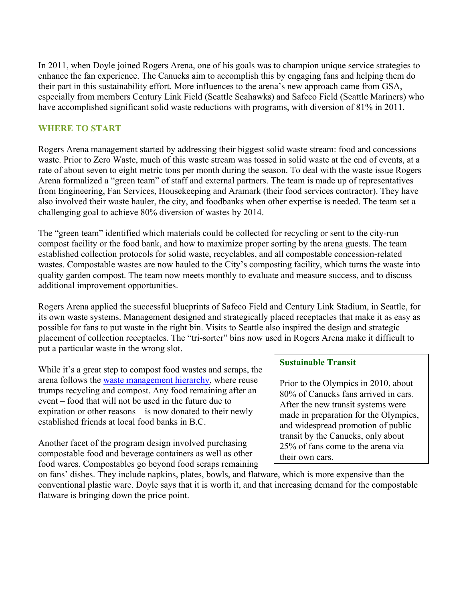In 2011, when Doyle joined Rogers Arena, one of his goals was to champion unique service strategies to enhance the fan experience. The Canucks aim to accomplish this by engaging fans and helping them do their part in this sustainability effort. More influences to the arena's new approach came from GSA, especially from members Century Link Field (Seattle Seahawks) and Safeco Field (Seattle Mariners) who have accomplished significant solid waste reductions with programs, with diversion of 81% in 2011.

### **WHERE TO START**

Rogers Arena management started by addressing their biggest solid waste stream: food and concessions waste. Prior to Zero Waste, much of this waste stream was tossed in solid waste at the end of events, at a rate of about seven to eight metric tons per month during the season. To deal with the waste issue Rogers Arena formalized a "green team" of staff and external partners. The team is made up of representatives from Engineering, Fan Services, Housekeeping and Aramark (their food services contractor). They have also involved their waste hauler, the city, and foodbanks when other expertise is needed. The team set a challenging goal to achieve 80% diversion of wastes by 2014.

The "green team" identified which materials could be collected for recycling or sent to the city-run compost facility or the food bank, and how to maximize proper sorting by the arena guests. The team established collection protocols for solid waste, recyclables, and all compostable concession-related wastes. Compostable wastes are now hauled to the City's composting facility, which turns the waste into quality garden compost. The team now meets monthly to evaluate and measure success, and to discuss additional improvement opportunities.

Rogers Arena applied the successful blueprints of Safeco Field and Century Link Stadium, in Seattle, for its own waste systems. Management designed and strategically placed receptacles that make it as easy as possible for fans to put waste in the right bin. Visits to Seattle also inspired the design and strategic placement of collection receptacles. The "tri-sorter" bins now used in Rogers Arena make it difficult to put a particular waste in the wrong slot.

While it's a great step to compost food wastes and scraps, the arena follows the waste management hierarchy, where reuse trumps recycling and compost. Any food remaining after an event – food that will not be used in the future due to expiration or other reasons – is now donated to their newly established friends at local food banks in B.C.

Another facet of the program design involved purchasing compostable food and beverage containers as well as other food wares. Compostables go beyond food scraps remaining

### **Sustainable Transit**

Prior to the Olympics in 2010, about 80% of Canucks fans arrived in cars. After the new transit systems were made in preparation for the Olympics, and widespread promotion of public transit by the Canucks, only about 25% of fans come to the arena via their own cars.

on fans' dishes. They include napkins, plates, bowls, and flatware, which is more expensive than the conventional plastic ware. Doyle says that it is worth it, and that increasing demand for the compostable flatware is bringing down the price point.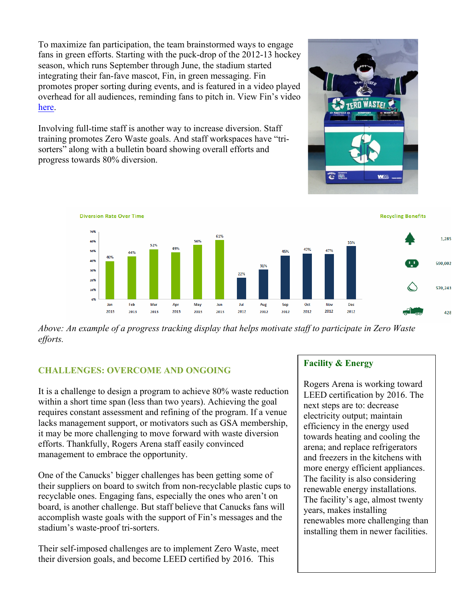To maximize fan participation, the team brainstormed ways to engage fans in green efforts. Starting with the puck-drop of the 2012-13 hockey season, which runs September through June, the stadium started integrating their fan-fave mascot, Fin, in green messaging. Fin promotes proper sorting during events, and is featured in a video played overhead for all audiences, reminding fans to pitch in. View Fin's video here.

Involving full-time staff is another way to increase diversion. Staff training promotes Zero Waste goals. And staff workspaces have "trisorters" along with a bulletin board showing overall efforts and progress towards 80% diversion.





*Above: An example of a progress tracking display that helps motivate staff to participate in Zero Waste efforts.* 

# **CHALLENGES: OVERCOME AND ONGOING**

It is a challenge to design a program to achieve 80% waste reduction within a short time span (less than two years). Achieving the goal requires constant assessment and refining of the program. If a venue lacks management support, or motivators such as GSA membership, it may be more challenging to move forward with waste diversion efforts. Thankfully, Rogers Arena staff easily convinced management to embrace the opportunity.

One of the Canucks' bigger challenges has been getting some of their suppliers on board to switch from non-recyclable plastic cups to recyclable ones. Engaging fans, especially the ones who aren't on board, is another challenge. But staff believe that Canucks fans will accomplish waste goals with the support of Fin's messages and the stadium's waste-proof tri-sorters.

Their self-imposed challenges are to implement Zero Waste, meet their diversion goals, and become LEED certified by 2016. This

### **Facility & Energy**

Rogers Arena is working toward LEED certification by 2016. The next steps are to: decrease electricity output; maintain efficiency in the energy used towards heating and cooling the arena; and replace refrigerators and freezers in the kitchens with more energy efficient appliances. The facility is also considering renewable energy installations. The facility's age, almost twenty years, makes installing renewables more challenging than installing them in newer facilities.